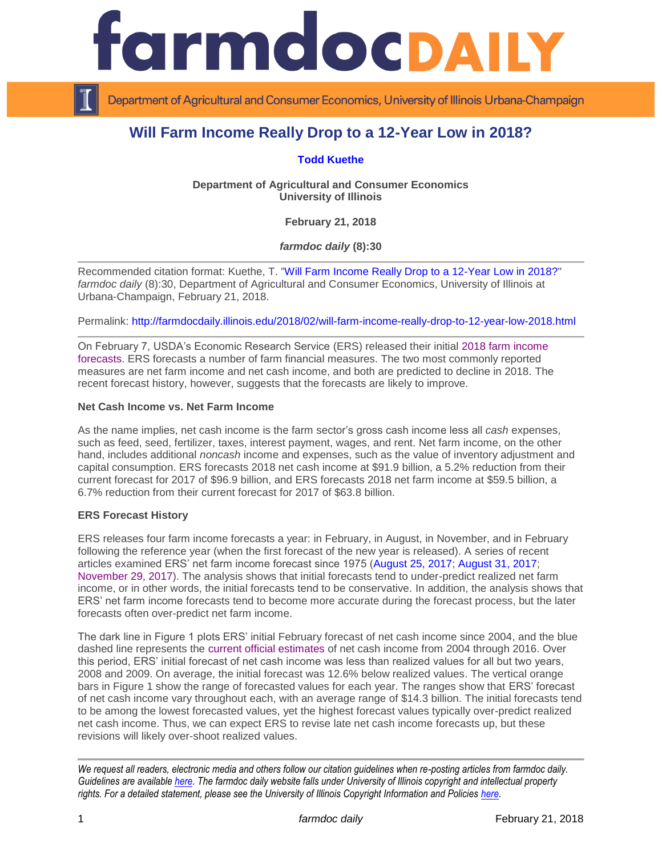

Department of Agricultural and Consumer Economics, University of Illinois Urbana-Champaign

# **Will Farm Income Really Drop to a 12-Year Low in 2018?**

## **[Todd Kuethe](http://farmdoc.illinois.edu/kuethe)**

**Department of Agricultural and Consumer Economics University of Illinois**

**February 21, 2018**

*farmdoc daily* **(8):30**

Recommended citation format: Kuethe, T. ["Will Farm Income Really Drop to a 12-Year Low in 2018?"](http://farmdocdaily.illinois.edu/2018/02/will-farm-income-really-drop-to-12-year-low-2018.html) *farmdoc daily* (8):30, Department of Agricultural and Consumer Economics, University of Illinois at Urbana-Champaign, February 21, 2018.

Permalink: <http://farmdocdaily.illinois.edu/2018/02/will-farm-income-really-drop-to-12-year-low-2018.html>

On February 7, USDA's Economic Research Service (ERS) released their initial [2018 farm income](https://www.ers.usda.gov/topics/farm-economy/farm-sector-income-finances/highlights-from-the-farm-income-forecast/)  [forecasts.](https://www.ers.usda.gov/topics/farm-economy/farm-sector-income-finances/highlights-from-the-farm-income-forecast/) ERS forecasts a number of farm financial measures. The two most commonly reported measures are net farm income and net cash income, and both are predicted to decline in 2018. The recent forecast history, however, suggests that the forecasts are likely to improve.

### **Net Cash Income vs. Net Farm Income**

As the name implies, net cash income is the farm sector's gross cash income less all *cash* expenses, such as feed, seed, fertilizer, taxes, interest payment, wages, and rent. Net farm income, on the other hand, includes additional *noncash* income and expenses, such as the value of inventory adjustment and capital consumption. ERS forecasts 2018 net cash income at \$91.9 billion, a 5.2% reduction from their current forecast for 2017 of \$96.9 billion, and ERS forecasts 2018 net farm income at \$59.5 billion, a 6.7% reduction from their current forecast for 2017 of \$63.8 billion.

## **ERS Forecast History**

ERS releases four farm income forecasts a year: in February, in August, in November, and in February following the reference year (when the first forecast of the new year is released). A series of recent articles examined ERS' net farm income forecast since 1975 [\(August 25, 2017;](http://farmdocdaily.illinois.edu/2017/08/interpreting-usdas-net-farm-income-forecast.html) [August 31, 2017;](http://farmdocdaily.illinois.edu/2017/08/interpreting-usdas-recent-farm-income-forecast.html) [November 29, 2017\)](http://farmdocdaily.illinois.edu/2017/11/interpreting-usda-november-farm-imcome-forecast.html). The analysis shows that initial forecasts tend to under-predict realized net farm income, or in other words, the initial forecasts tend to be conservative. In addition, the analysis shows that ERS' net farm income forecasts tend to become more accurate during the forecast process, but the later forecasts often over-predict net farm income.

The dark line in Figure 1 plots ERS' initial February forecast of net cash income since 2004, and the blue dashed line represents the [current official estimates](https://data.ers.usda.gov/reports.aspx?ID=17831) of net cash income from 2004 through 2016. Over this period, ERS' initial forecast of net cash income was less than realized values for all but two years, 2008 and 2009. On average, the initial forecast was 12.6% below realized values. The vertical orange bars in Figure 1 show the range of forecasted values for each year. The ranges show that ERS' forecast of net cash income vary throughout each, with an average range of \$14.3 billion. The initial forecasts tend to be among the lowest forecasted values, yet the highest forecast values typically over-predict realized net cash income. Thus, we can expect ERS to revise late net cash income forecasts up, but these revisions will likely over-shoot realized values.

*We request all readers, electronic media and others follow our citation guidelines when re-posting articles from farmdoc daily. Guidelines are available [here.](http://farmdocdaily.illinois.edu/citationguide.html) The farmdoc daily website falls under University of Illinois copyright and intellectual property rights. For a detailed statement, please see the University of Illinois Copyright Information and Policies [here.](http://www.cio.illinois.edu/policies/copyright/)*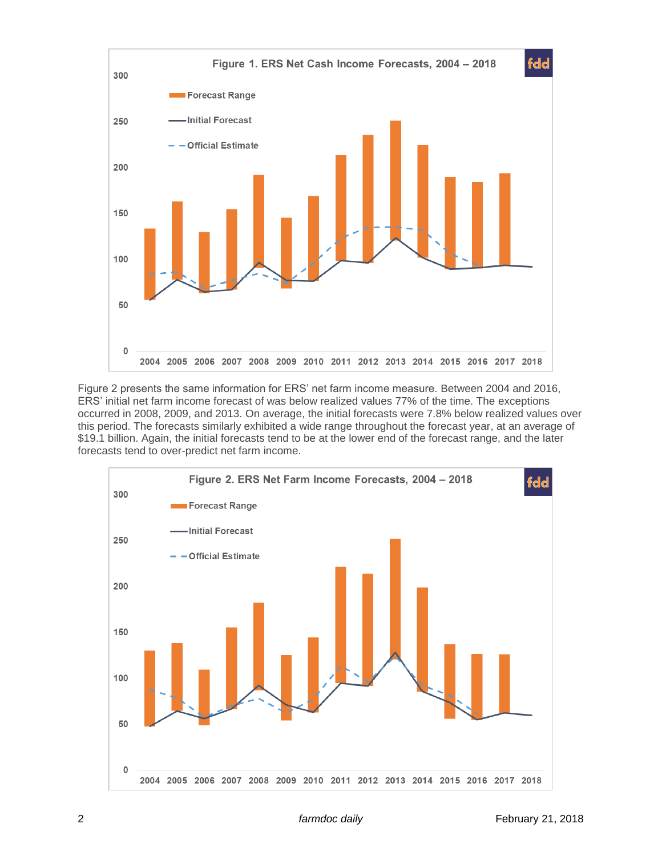

Figure 2 presents the same information for ERS' net farm income measure. Between 2004 and 2016, ERS' initial net farm income forecast of was below realized values 77% of the time. The exceptions occurred in 2008, 2009, and 2013. On average, the initial forecasts were 7.8% below realized values over this period. The forecasts similarly exhibited a wide range throughout the forecast year, at an average of \$19.1 billion. Again, the initial forecasts tend to be at the lower end of the forecast range, and the later forecasts tend to over-predict net farm income.